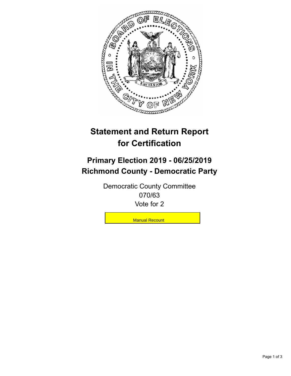

## **Statement and Return Report for Certification**

## **Primary Election 2019 - 06/25/2019 Richmond County - Democratic Party**

Democratic County Committee 070/63 Vote for 2

**Manual Recount**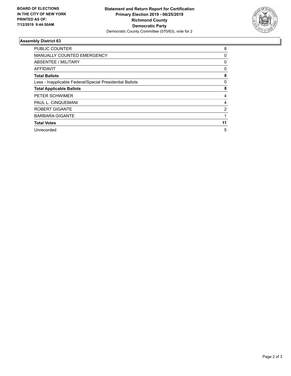

## **Assembly District 63**

| <b>PUBLIC COUNTER</b>                                    | 8            |
|----------------------------------------------------------|--------------|
| <b>MANUALLY COUNTED EMERGENCY</b>                        | 0            |
| ABSENTEE / MILITARY                                      | 0            |
| AFFIDAVIT                                                | $\mathbf{0}$ |
| <b>Total Ballots</b>                                     | 8            |
| Less - Inapplicable Federal/Special Presidential Ballots | 0            |
| <b>Total Applicable Ballots</b>                          | 8            |
| <b>PETER SCHWIMER</b>                                    | 4            |
| PAUL L. CINQUEMANI                                       | 4            |
| <b>ROBERT GIGANTE</b>                                    | 2            |
| <b>BARBARA GIGANTE</b>                                   |              |
| <b>Total Votes</b>                                       | 11           |
| Unrecorded                                               | 5            |